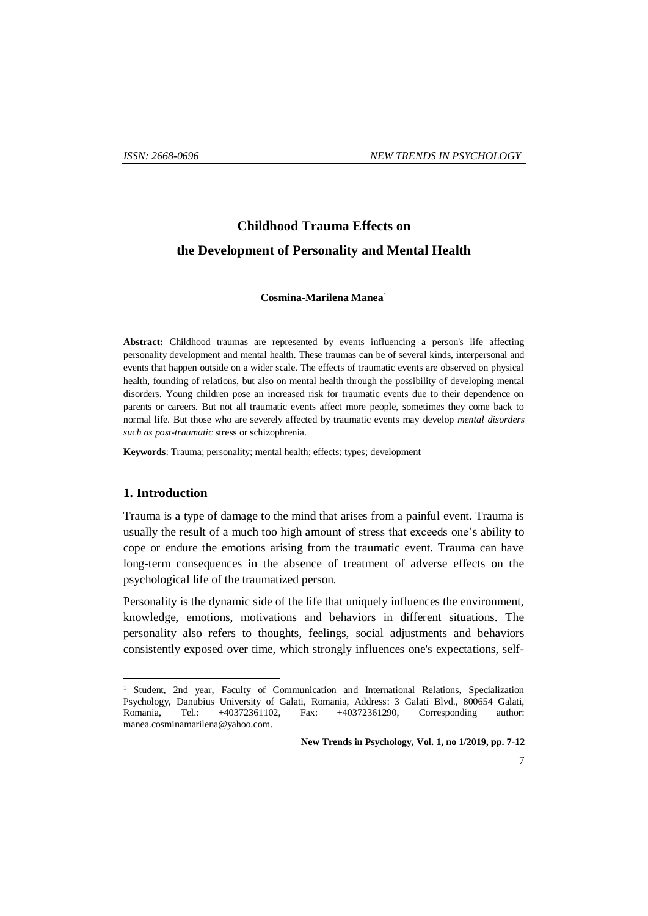# **Childhood Trauma Effects on the Development of Personality and Mental Health**

#### **Cosmina-Marilena Manea**<sup>1</sup>

**Abstract:** Childhood traumas are represented by events influencing a person's life affecting personality development and mental health. These traumas can be of several kinds, interpersonal and events that happen outside on a wider scale. The effects of traumatic events are observed on physical health, founding of relations, but also on mental health through the possibility of developing mental disorders. Young children pose an increased risk for traumatic events due to their dependence on parents or careers. But not all traumatic events affect more people, sometimes they come back to normal life. But those who are severely affected by traumatic events may develop *mental disorders such as post-traumatic* stress or schizophrenia.

**Keywords**: Trauma; personality; mental health; effects; types; development

## **1. Introduction**

1

Trauma is a type of damage to the mind that arises from a painful event. Trauma is usually the result of a much too high amount of stress that exceeds one's ability to cope or endure the emotions arising from the traumatic event. Trauma can have long-term consequences in the absence of treatment of adverse effects on the psychological life of the traumatized person.

Personality is the dynamic side of the life that uniquely influences the environment, knowledge, emotions, motivations and behaviors in different situations. The personality also refers to thoughts, feelings, social adjustments and behaviors consistently exposed over time, which strongly influences one's expectations, self-

<sup>1</sup> Student, 2nd year, Faculty of Communication and International Relations, Specialization Psychology, Danubius University of Galati, Romania, Address: 3 Galati Blvd., 800654 Galati, Romania, Tel.: +40372361102, Fax: +40372361290, Corresponding author: manea.cosminamarilena@yahoo.com.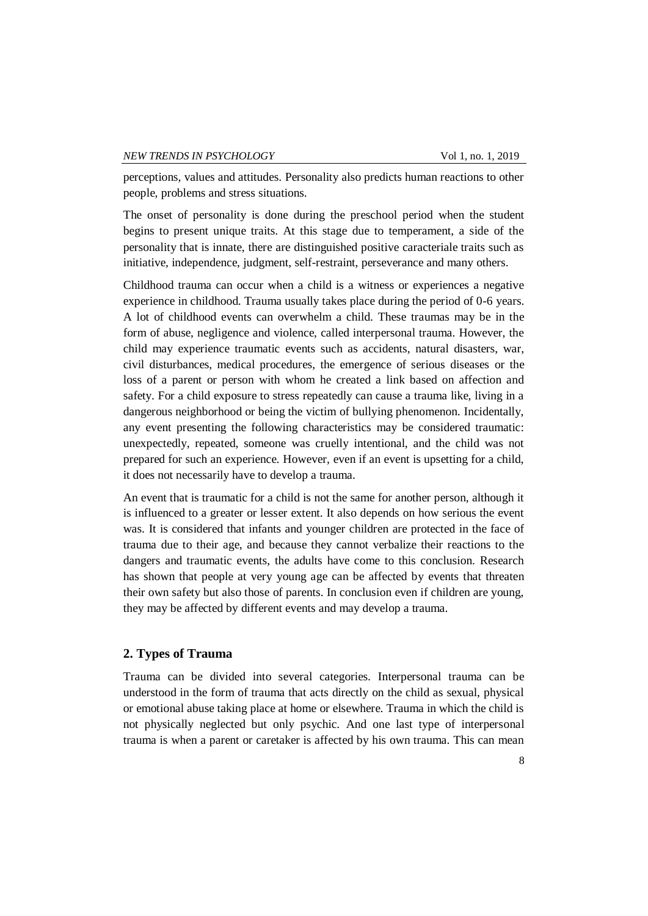perceptions, values and attitudes. Personality also predicts human reactions to other people, problems and stress situations.

The onset of personality is done during the preschool period when the student begins to present unique traits. At this stage due to temperament, a side of the personality that is innate, there are distinguished positive caracteriale traits such as initiative, independence, judgment, self-restraint, perseverance and many others.

Childhood trauma can occur when a child is a witness or experiences a negative experience in childhood. Trauma usually takes place during the period of 0-6 years. A lot of childhood events can overwhelm a child. These traumas may be in the form of abuse, negligence and violence, called interpersonal trauma. However, the child may experience traumatic events such as accidents, natural disasters, war, civil disturbances, medical procedures, the emergence of serious diseases or the loss of a parent or person with whom he created a link based on affection and safety. For a child exposure to stress repeatedly can cause a trauma like, living in a dangerous neighborhood or being the victim of bullying phenomenon. Incidentally, any event presenting the following characteristics may be considered traumatic: unexpectedly, repeated, someone was cruelly intentional, and the child was not prepared for such an experience. However, even if an event is upsetting for a child, it does not necessarily have to develop a trauma.

An event that is traumatic for a child is not the same for another person, although it is influenced to a greater or lesser extent. It also depends on how serious the event was. It is considered that infants and younger children are protected in the face of trauma due to their age, and because they cannot verbalize their reactions to the dangers and traumatic events, the adults have come to this conclusion. Research has shown that people at very young age can be affected by events that threaten their own safety but also those of parents. In conclusion even if children are young, they may be affected by different events and may develop a trauma.

## **2. Types of Trauma**

Trauma can be divided into several categories. Interpersonal trauma can be understood in the form of trauma that acts directly on the child as sexual, physical or emotional abuse taking place at home or elsewhere. Trauma in which the child is not physically neglected but only psychic. And one last type of interpersonal trauma is when a parent or caretaker is affected by his own trauma. This can mean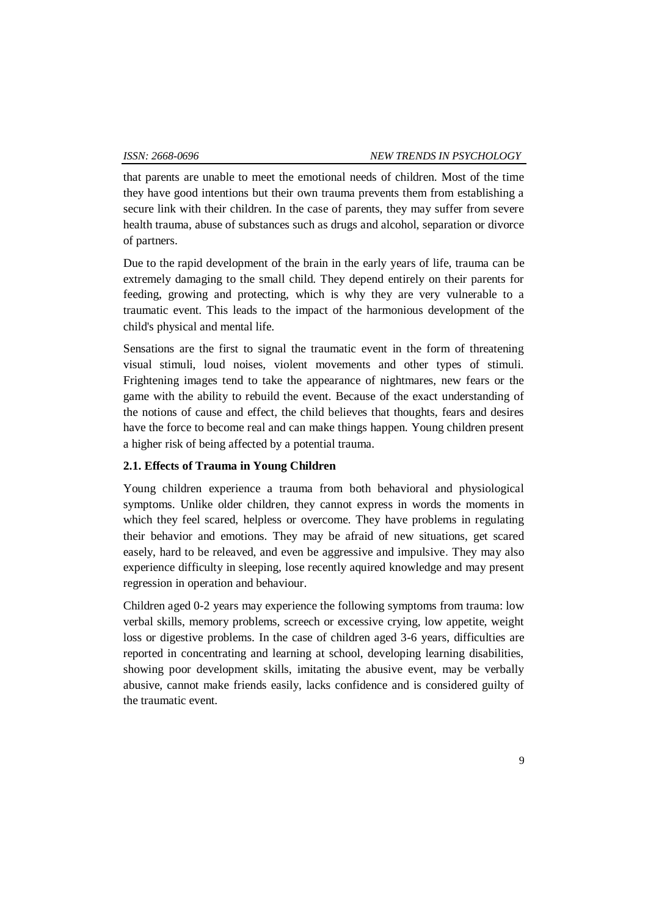that parents are unable to meet the emotional needs of children. Most of the time they have good intentions but their own trauma prevents them from establishing a secure link with their children. In the case of parents, they may suffer from severe health trauma, abuse of substances such as drugs and alcohol, separation or divorce of partners.

Due to the rapid development of the brain in the early years of life, trauma can be extremely damaging to the small child. They depend entirely on their parents for feeding, growing and protecting, which is why they are very vulnerable to a traumatic event. This leads to the impact of the harmonious development of the child's physical and mental life.

Sensations are the first to signal the traumatic event in the form of threatening visual stimuli, loud noises, violent movements and other types of stimuli. Frightening images tend to take the appearance of nightmares, new fears or the game with the ability to rebuild the event. Because of the exact understanding of the notions of cause and effect, the child believes that thoughts, fears and desires have the force to become real and can make things happen. Young children present a higher risk of being affected by a potential trauma.

## **2.1. Effects of Trauma in Young Children**

Young children experience a trauma from both behavioral and physiological symptoms. Unlike older children, they cannot express in words the moments in which they feel scared, helpless or overcome. They have problems in regulating their behavior and emotions. They may be afraid of new situations, get scared easely, hard to be releaved, and even be aggressive and impulsive. They may also experience difficulty in sleeping, lose recently aquired knowledge and may present regression in operation and behaviour.

Children aged 0-2 years may experience the following symptoms from trauma: low verbal skills, memory problems, screech or excessive crying, low appetite, weight loss or digestive problems. In the case of children aged 3-6 years, difficulties are reported in concentrating and learning at school, developing learning disabilities, showing poor development skills, imitating the abusive event, may be verbally abusive, cannot make friends easily, lacks confidence and is considered guilty of the traumatic event.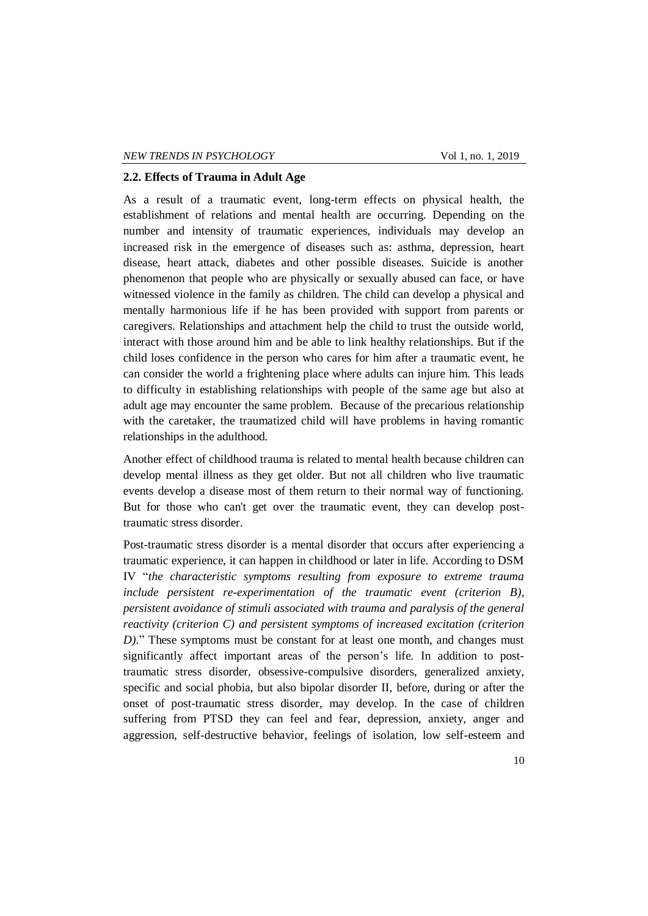### **2.2. Effects of Trauma in Adult Age**

As a result of a traumatic event, long-term effects on physical health, the establishment of relations and mental health are occurring. Depending on the number and intensity of traumatic experiences, individuals may develop an increased risk in the emergence of diseases such as: asthma, depression, heart disease, heart attack, diabetes and other possible diseases. Suicide is another phenomenon that people who are physically or sexually abused can face, or have witnessed violence in the family as children. The child can develop a physical and mentally harmonious life if he has been provided with support from parents or caregivers. Relationships and attachment help the child to trust the outside world, interact with those around him and be able to link healthy relationships. But if the child loses confidence in the person who cares for him after a traumatic event, he can consider the world a frightening place where adults can injure him. This leads to difficulty in establishing relationships with people of the same age but also at adult age may encounter the same problem. Because of the precarious relationship with the caretaker, the traumatized child will have problems in having romantic relationships in the adulthood.

Another effect of childhood trauma is related to mental health because children can develop mental illness as they get older. But not all children who live traumatic events develop a disease most of them return to their normal way of functioning. But for those who can't get over the traumatic event, they can develop posttraumatic stress disorder.

Post-traumatic stress disorder is a mental disorder that occurs after experiencing a traumatic experience, it can happen in childhood or later in life. According to DSM IV "*the characteristic symptoms resulting from exposure to extreme trauma include persistent re-experimentation of the traumatic event (criterion B), persistent avoidance of stimuli associated with trauma and paralysis of the general reactivity (criterion C) and persistent symptoms of increased excitation (criterion D).*" These symptoms must be constant for at least one month, and changes must significantly affect important areas of the person's life. In addition to posttraumatic stress disorder, obsessive-compulsive disorders, generalized anxiety, specific and social phobia, but also bipolar disorder II, before, during or after the onset of post-traumatic stress disorder, may develop. In the case of children suffering from PTSD they can feel and fear, depression, anxiety, anger and aggression, self-destructive behavior, feelings of isolation, low self-esteem and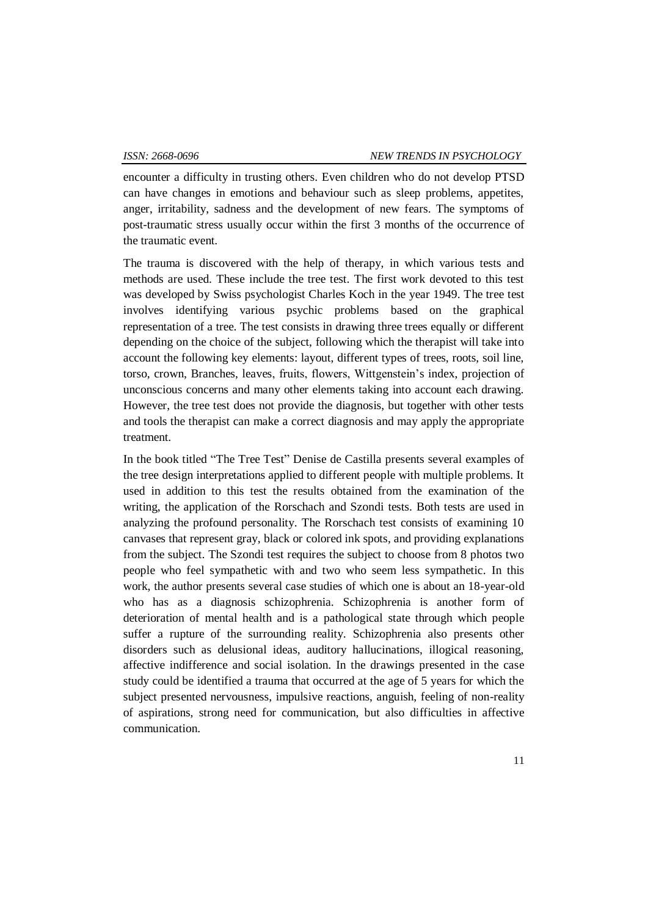encounter a difficulty in trusting others. Even children who do not develop PTSD can have changes in emotions and behaviour such as sleep problems, appetites, anger, irritability, sadness and the development of new fears. The symptoms of post-traumatic stress usually occur within the first 3 months of the occurrence of the traumatic event.

The trauma is discovered with the help of therapy, in which various tests and methods are used. These include the tree test. The first work devoted to this test was developed by Swiss psychologist Charles Koch in the year 1949. The tree test involves identifying various psychic problems based on the graphical representation of a tree. The test consists in drawing three trees equally or different depending on the choice of the subject, following which the therapist will take into account the following key elements: layout, different types of trees, roots, soil line, torso, crown, Branches, leaves, fruits, flowers, Wittgenstein's index, projection of unconscious concerns and many other elements taking into account each drawing. However, the tree test does not provide the diagnosis, but together with other tests and tools the therapist can make a correct diagnosis and may apply the appropriate treatment.

In the book titled "The Tree Test" Denise de Castilla presents several examples of the tree design interpretations applied to different people with multiple problems. It used in addition to this test the results obtained from the examination of the writing, the application of the Rorschach and Szondi tests. Both tests are used in analyzing the profound personality. The Rorschach test consists of examining 10 canvases that represent gray, black or colored ink spots, and providing explanations from the subject. The Szondi test requires the subject to choose from 8 photos two people who feel sympathetic with and two who seem less sympathetic. In this work, the author presents several case studies of which one is about an 18-year-old who has as a diagnosis schizophrenia. Schizophrenia is another form of deterioration of mental health and is a pathological state through which people suffer a rupture of the surrounding reality. Schizophrenia also presents other disorders such as delusional ideas, auditory hallucinations, illogical reasoning, affective indifference and social isolation. In the drawings presented in the case study could be identified a trauma that occurred at the age of 5 years for which the subject presented nervousness, impulsive reactions, anguish, feeling of non-reality of aspirations, strong need for communication, but also difficulties in affective communication.